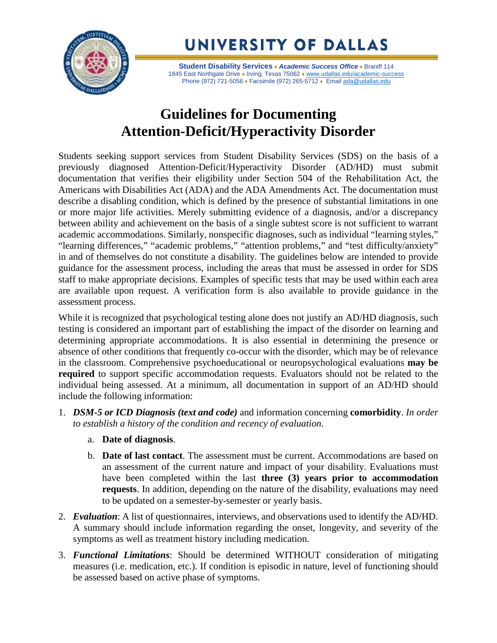

UNIVERSITY OF DALLAS

**Student Disability Services** ♦ *Academic Success Office* ♦ Braniff 114 1845 East Northgate Drive • Irving, Texas 75062 • [www.udallas.edu/academic-success](http://www.udallas.edu/academic-success) Phone (972) 721-5056 • Facsimile (972) 265-5712 • Email [ada@udallas.edu](mailto:ada@udallas.edu)

## **Guidelines for Documenting Attention-Deficit/Hyperactivity Disorder**

Students seeking support services from Student Disability Services (SDS) on the basis of a previously diagnosed Attention-Deficit/Hyperactivity Disorder (AD/HD) must submit documentation that verifies their eligibility under Section 504 of the Rehabilitation Act, the Americans with Disabilities Act (ADA) and the ADA Amendments Act. The documentation must describe a disabling condition, which is defined by the presence of substantial limitations in one or more major life activities. Merely submitting evidence of a diagnosis, and/or a discrepancy between ability and achievement on the basis of a single subtest score is not sufficient to warrant academic accommodations. Similarly, nonspecific diagnoses, such as individual "learning styles," "learning differences," "academic problems," "attention problems," and "test difficulty/anxiety" in and of themselves do not constitute a disability. The guidelines below are intended to provide guidance for the assessment process, including the areas that must be assessed in order for SDS staff to make appropriate decisions. Examples of specific tests that may be used within each area are available upon request. A verification form is also available to provide guidance in the assessment process.

While it is recognized that psychological testing alone does not justify an AD/HD diagnosis, such testing is considered an important part of establishing the impact of the disorder on learning and determining appropriate accommodations. It is also essential in determining the presence or absence of other conditions that frequently co-occur with the disorder, which may be of relevance in the classroom. Comprehensive psychoeducational or neuropsychological evaluations **may be required** to support specific accommodation requests. Evaluators should not be related to the individual being assessed. At a minimum, all documentation in support of an AD/HD should include the following information:

- 1. *DSM-5 or ICD Diagnosis (text and code)* and information concerning **comorbidity**. *In order to establish a history of the condition and recency of evaluation.*
	- a. **Date of diagnosis**.
	- b. **Date of last contact**. The assessment must be current. Accommodations are based on an assessment of the current nature and impact of your disability. Evaluations must have been completed within the last **three (3) years prior to accommodation requests**. In addition, depending on the nature of the disability, evaluations may need to be updated on a semester-by-semester or yearly basis.
- 2. *Evaluation*: A list of questionnaires, interviews, and observations used to identify the AD/HD. A summary should include information regarding the onset, longevity, and severity of the symptoms as well as treatment history including medication.
- 3. *Functional Limitations*: Should be determined WITHOUT consideration of mitigating measures (i.e. medication, etc.). If condition is episodic in nature, level of functioning should be assessed based on active phase of symptoms.